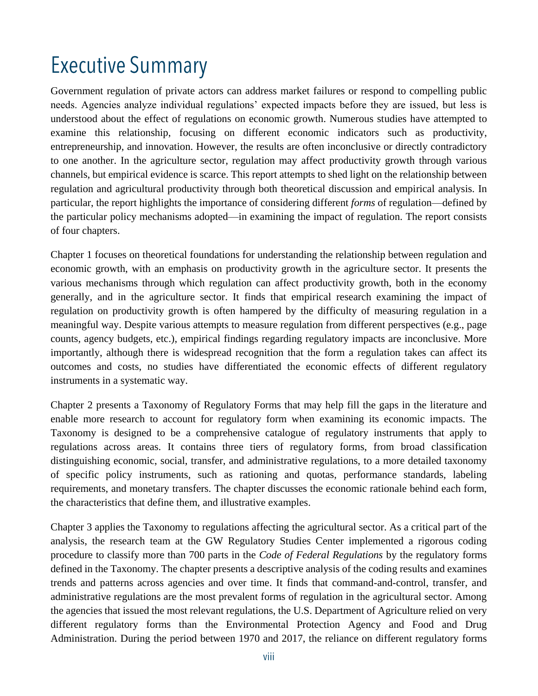## **Executive Summary**

Government regulation of private actors can address market failures or respond to compelling public needs. Agencies analyze individual regulations' expected impacts before they are issued, but less is understood about the effect of regulations on economic growth. Numerous studies have attempted to examine this relationship, focusing on different economic indicators such as productivity, entrepreneurship, and innovation. However, the results are often inconclusive or directly contradictory to one another. In the agriculture sector, regulation may affect productivity growth through various channels, but empirical evidence is scarce. This report attempts to shed light on the relationship between regulation and agricultural productivity through both theoretical discussion and empirical analysis. In particular, the report highlights the importance of considering different *forms* of regulation—defined by the particular policy mechanisms adopted—in examining the impact of regulation. The report consists of four chapters.

Chapter 1 focuses on theoretical foundations for understanding the relationship between regulation and economic growth, with an emphasis on productivity growth in the agriculture sector. It presents the various mechanisms through which regulation can affect productivity growth, both in the economy generally, and in the agriculture sector. It finds that empirical research examining the impact of regulation on productivity growth is often hampered by the difficulty of measuring regulation in a meaningful way. Despite various attempts to measure regulation from different perspectives (e.g., page counts, agency budgets, etc.), empirical findings regarding regulatory impacts are inconclusive. More importantly, although there is widespread recognition that the form a regulation takes can affect its outcomes and costs, no studies have differentiated the economic effects of different regulatory instruments in a systematic way.

Chapter 2 presents a Taxonomy of Regulatory Forms that may help fill the gaps in the literature and enable more research to account for regulatory form when examining its economic impacts. The Taxonomy is designed to be a comprehensive catalogue of regulatory instruments that apply to regulations across areas. It contains three tiers of regulatory forms, from broad classification distinguishing economic, social, transfer, and administrative regulations, to a more detailed taxonomy of specific policy instruments, such as rationing and quotas, performance standards, labeling requirements, and monetary transfers. The chapter discusses the economic rationale behind each form, the characteristics that define them, and illustrative examples.

Chapter 3 applies the Taxonomy to regulations affecting the agricultural sector. As a critical part of the analysis, the research team at the GW Regulatory Studies Center implemented a rigorous coding procedure to classify more than 700 parts in the *Code of Federal Regulations* by the regulatory forms defined in the Taxonomy. The chapter presents a descriptive analysis of the coding results and examines trends and patterns across agencies and over time. It finds that command-and-control, transfer, and administrative regulations are the most prevalent forms of regulation in the agricultural sector. Among the agencies that issued the most relevant regulations, the U.S. Department of Agriculture relied on very different regulatory forms than the Environmental Protection Agency and Food and Drug Administration. During the period between 1970 and 2017, the reliance on different regulatory forms